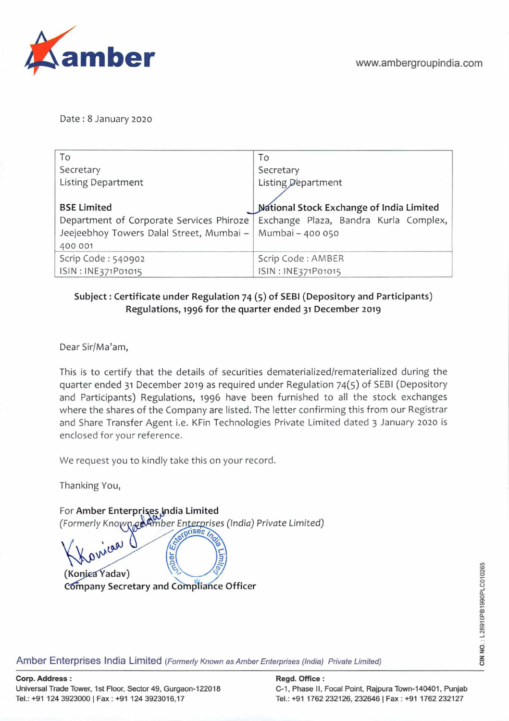

Date: 8 January 2020

| To                                                          | To                                                                               |
|-------------------------------------------------------------|----------------------------------------------------------------------------------|
| Secretary                                                   | Secretary                                                                        |
| <b>Listing Department</b>                                   | Listing Department                                                               |
|                                                             |                                                                                  |
| <b>BSE Limited</b>                                          | National Stock Exchange of India Limited                                         |
|                                                             | Department of Corporate Services Phiroze   Exchange Plaza, Bandra Kurla Complex, |
| Jeejeebhoy Towers Dalal Street, Mumbai -   Mumbai - 400 050 |                                                                                  |
| 400 001                                                     |                                                                                  |
| Scrip Code: 540902                                          | Scrip Code: AMBER                                                                |
| ISIN: INE371P01015                                          | ISIN: INE371P01015                                                               |

## Subject: Certificate under Regulation 74 (5) of SEBI (Depository and Participants) Regulations, 1996 **for the quarter ended 31 December 2019**

Dear Sir/Ma'am,

This is to certify that the details of securities dematerialized/rematerialized during the quarter ended 31 December 2019 as required under Regulation 74(5) of SEBI (Depository and Participants) Regulations, 1996 have been furnished to all the stock exchanges where the shares of the Company are listed. The letter confirming this from our Registrar and Share Transfer Agent i.e. KFin Technologies Private Limited dated 3 January 2020 is enclosed for your reference.

We request you to kindly take this on your record.

Thanking You,

For Amber Enterprises India Limited *(Formerly Known as Amber Enterprises (India) Private Limited)* ical ber<sub>En</sub>  $\overline{u}$ **(Konjea Yadav) C6mpany Secretary and Cómpliañce** Officer

Amber Enterprises India Limited (Formerly Known as Amber Enterprises (India) Private Limited)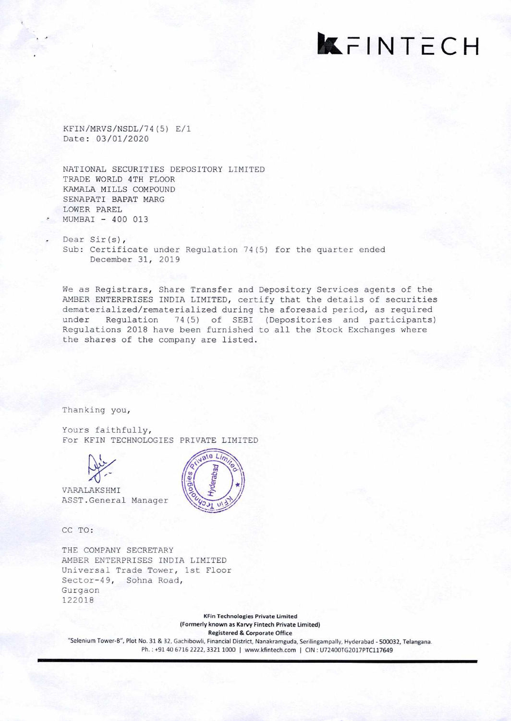## **KFINTECH**

KFIN/MRVS/NSDL/74 (5) E/i Date: 03/01/2020

NATIONAL SECURITIES DEPOSITORY LIMITED TRADE WORLD 4TH FLOOR KAMALA MILLS COMPOUND SENAPATI BAPAT MARG LOWER PAREL MUMBAI - 400 013

Dear Sir(s), Sub: Certificate under Regulation 74(5) for the quarter ended December 31, 2019

We as Registrars, Share Transfer and Depository Services agents of the AMBER ENTERPRISES INDIA LIMITED, certify that the details of securities dematerialized/rematerialized during the aforesaid period, as required under Regulation 74(5) of SEBI (Depositories and participants) Regulations 2018 have been furnished to all the Stock Exchanges where the shares of the company are listed.

Thanking you,

Yours faithfully, For KFIN TECHNOLOGIES PRIVATE LIMITED



VARALAKSHMI ASST . General Manager

CC TO:

THE COMPANY SECRETARY AMBER ENTERPRISES INDIA LIMITED Universal Trade Tower, 1st Floor Sector-49, Sohna Road, Gurgaon 122018

> **KFin Technologies Private Limited**  (Formerly known as Karvy Fintech **Private Limited) Registered & Corporate Office**

"Selernum Tower-B", Plot No. 31 & 32, Gachibowli, Financial District, Nanakramguda, Serilingampally, Hyderabad - 500032, Telangana. Ph.: +91 40 6716 2222, 3321 1000 | www.kfintech.com | CIN: U72400TG2017PTC117649